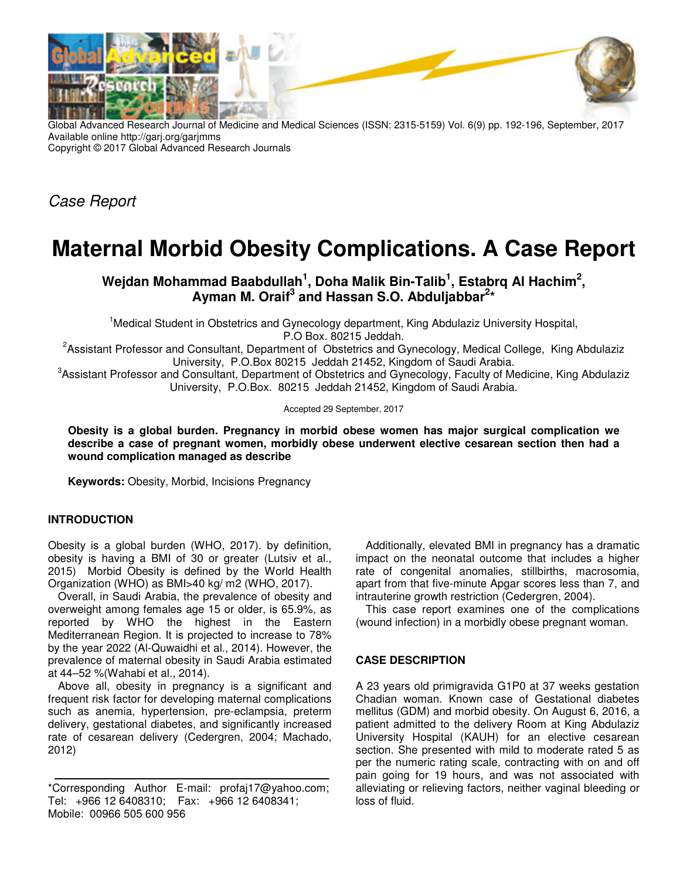

Global Advanced Research Journal of Medicine and Medical Sciences (ISSN: 2315-5159) Vol. 6(9) pp. 192-196, September, 2017 Available online http://garj.org/garjmms Copyright © 2017 Global Advanced Research Journals

Case Report

# **Maternal Morbid Obesity Complications. A Case Report**

## **Wejdan Mohammad Baabdullah<sup>1</sup> , Doha Malik Bin-Talib<sup>1</sup> , Estabrq Al Hachim<sup>2</sup> , Ayman M. Oraif<sup>3</sup> and Hassan S.O. Abduljabbar<sup>2</sup> \***

<sup>1</sup>Medical Student in Obstetrics and Gynecology department, King Abdulaziz University Hospital, P.O Box. 80215 Jeddah.

<sup>2</sup>Assistant Professor and Consultant, Department of Obstetrics and Gynecology, Medical College, King Abdulaziz University, P.O.Box 80215 Jeddah 21452, Kingdom of Saudi Arabia.

3 Assistant Professor and Consultant, Department of Obstetrics and Gynecology, Faculty of Medicine, King Abdulaziz University, P.O.Box. 80215 Jeddah 21452, Kingdom of Saudi Arabia.

Accepted 29 September, 2017

**Obesity is a global burden. Pregnancy in morbid obese women has major surgical complication we describe a case of pregnant women, morbidly obese underwent elective cesarean section then had a wound complication managed as describe** 

**Keywords:** Obesity, Morbid, Incisions Pregnancy

#### **INTRODUCTION**

Obesity is a global burden (WHO, 2017). by definition, obesity is having a BMI of 30 or greater (Lutsiv et al., 2015) Morbid Obesity is defined by the World Health Organization (WHO) as BMI>40 kg/ m2 (WHO, 2017).

Overall, in Saudi Arabia, the prevalence of obesity and overweight among females age 15 or older, is 65.9%, as reported by WHO the highest in the Eastern Mediterranean Region. It is projected to increase to 78% by the year 2022 (Al-Quwaidhi et al., 2014). However, the prevalence of maternal obesity in Saudi Arabia estimated at 44–52 %(Wahabi et al., 2014).

Above all, obesity in pregnancy is a significant and frequent risk factor for developing maternal complications such as anemia, hypertension, pre-eclampsia, preterm delivery, gestational diabetes, and significantly increased rate of cesarean delivery (Cedergren, 2004; Machado, 2012)

\*Corresponding Author E-mail: profaj17@yahoo.com; Tel: +966 12 6408310; Fax: +966 12 6408341; Mobile: 00966 505 600 956

Additionally, elevated BMI in pregnancy has a dramatic impact on the neonatal outcome that includes a higher rate of congenital anomalies, stillbirths, macrosomia, apart from that five-minute Apgar scores less than 7, and intrauterine growth restriction (Cedergren, 2004).

This case report examines one of the complications (wound infection) in a morbidly obese pregnant woman.

#### **CASE DESCRIPTION**

A 23 years old primigravida G1P0 at 37 weeks gestation Chadian woman. Known case of Gestational diabetes mellitus (GDM) and morbid obesity. On August 6, 2016, a patient admitted to the delivery Room at King Abdulaziz University Hospital (KAUH) for an elective cesarean section. She presented with mild to moderate rated 5 as per the numeric rating scale, contracting with on and off pain going for 19 hours, and was not associated with alleviating or relieving factors, neither vaginal bleeding or loss of fluid.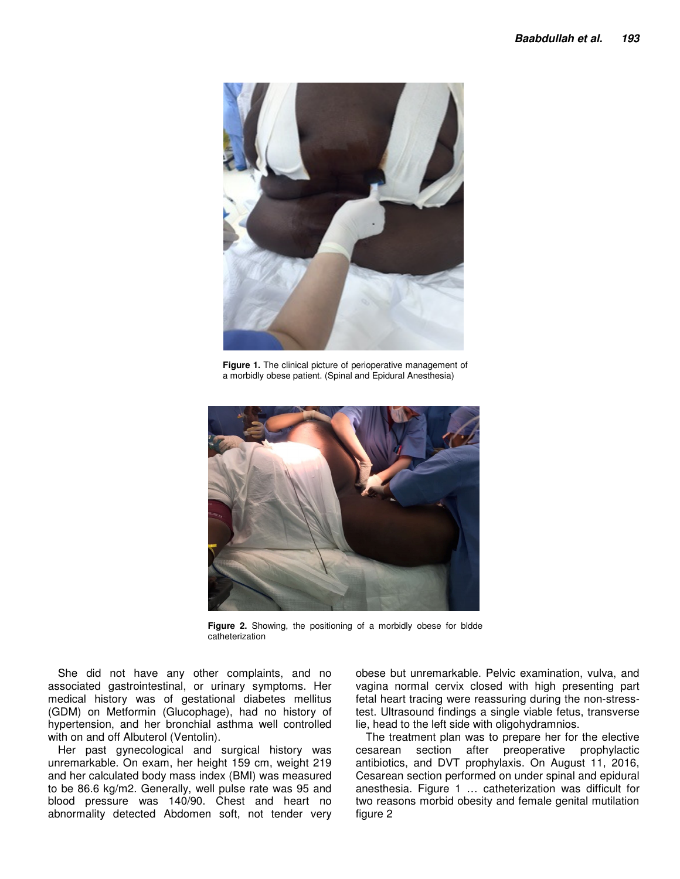

**Figure 1.** The clinical picture of perioperative management of a morbidly obese patient. (Spinal and Epidural Anesthesia)



**Figure 2.** Showing, the positioning of a morbidly obese for bldde catheterization

She did not have any other complaints, and no associated gastrointestinal, or urinary symptoms. Her medical history was of gestational diabetes mellitus (GDM) on Metformin (Glucophage), had no history of hypertension, and her bronchial asthma well controlled with on and off Albuterol (Ventolin).

Her past gynecological and surgical history was unremarkable. On exam, her height 159 cm, weight 219 and her calculated body mass index (BMI) was measured to be 86.6 kg/m2. Generally, well pulse rate was 95 and blood pressure was 140/90. Chest and heart no abnormality detected Abdomen soft, not tender very

obese but unremarkable. Pelvic examination, vulva, and vagina normal cervix closed with high presenting part fetal heart tracing were reassuring during the non-stresstest. Ultrasound findings a single viable fetus, transverse lie, head to the left side with oligohydramnios.

The treatment plan was to prepare her for the elective cesarean section after preoperative prophylactic antibiotics, and DVT prophylaxis. On August 11, 2016, Cesarean section performed on under spinal and epidural anesthesia. Figure 1 … catheterization was difficult for two reasons morbid obesity and female genital mutilation figure 2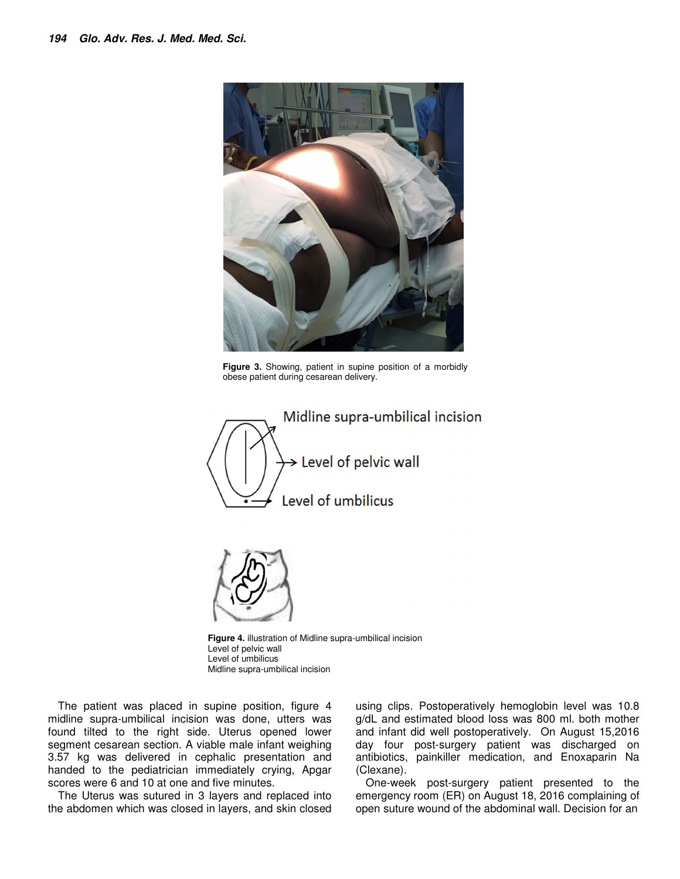

**Figure 3.** Showing, patient in supine position of a morbidly obese patient during cesarean delivery.





**Figure 4.** illustration of Midline supra-umbilical incision Level of pelvic wall Level of umbilicus Midline supra-umbilical incision

The patient was placed in supine position, figure 4 midline supra-umbilical incision was done, utters was found tilted to the right side. Uterus opened lower segment cesarean section. A viable male infant weighing 3.57 kg was delivered in cephalic presentation and handed to the pediatrician immediately crying, Apgar scores were 6 and 10 at one and five minutes.

The Uterus was sutured in 3 layers and replaced into the abdomen which was closed in layers, and skin closed

using clips. Postoperatively hemoglobin level was 10.8 g/dL and estimated blood loss was 800 ml. both mother and infant did well postoperatively. On August 15,2016 day four post-surgery patient was discharged on antibiotics, painkiller medication, and Enoxaparin Na (Clexane).

One-week post-surgery patient presented to the emergency room (ER) on August 18, 2016 complaining of open suture wound of the abdominal wall. Decision for an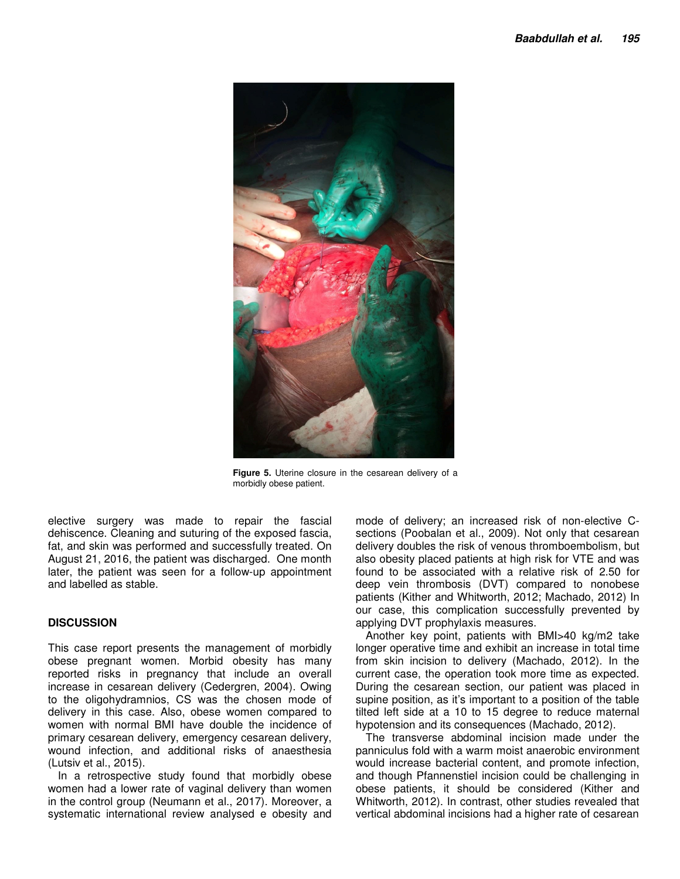

**Figure 5.** Uterine closure in the cesarean delivery of a morbidly obese patient.

elective surgery was made to repair the fascial dehiscence. Cleaning and suturing of the exposed fascia, fat, and skin was performed and successfully treated. On August 21, 2016, the patient was discharged. One month later, the patient was seen for a follow-up appointment and labelled as stable.

### **DISCUSSION**

This case report presents the management of morbidly obese pregnant women. Morbid obesity has many reported risks in pregnancy that include an overall increase in cesarean delivery (Cedergren, 2004). Owing to the oligohydramnios, CS was the chosen mode of delivery in this case. Also, obese women compared to women with normal BMI have double the incidence of primary cesarean delivery, emergency cesarean delivery, wound infection, and additional risks of anaesthesia (Lutsiv et al., 2015).

In a retrospective study found that morbidly obese women had a lower rate of vaginal delivery than women in the control group (Neumann et al., 2017). Moreover, a systematic international review analysed e obesity and

mode of delivery; an increased risk of non-elective Csections (Poobalan et al., 2009). Not only that cesarean delivery doubles the risk of venous thromboembolism, but also obesity placed patients at high risk for VTE and was found to be associated with a relative risk of 2.50 for deep vein thrombosis (DVT) compared to nonobese patients (Kither and Whitworth, 2012; Machado, 2012) In our case, this complication successfully prevented by applying DVT prophylaxis measures.

Another key point, patients with BMI>40 kg/m2 take longer operative time and exhibit an increase in total time from skin incision to delivery (Machado, 2012). In the current case, the operation took more time as expected. During the cesarean section, our patient was placed in supine position, as it's important to a position of the table tilted left side at a 10 to 15 degree to reduce maternal hypotension and its consequences (Machado, 2012).

The transverse abdominal incision made under the panniculus fold with a warm moist anaerobic environment would increase bacterial content, and promote infection, and though Pfannenstiel incision could be challenging in obese patients, it should be considered (Kither and Whitworth, 2012). In contrast, other studies revealed that vertical abdominal incisions had a higher rate of cesarean